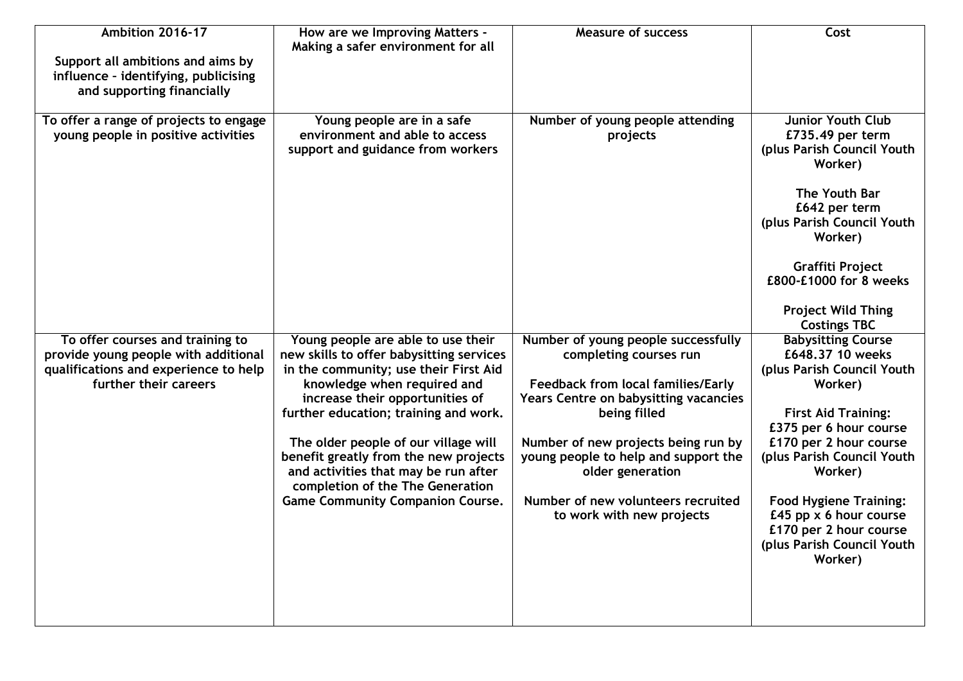| Ambition 2016-17<br>Support all ambitions and aims by<br>influence - identifying, publicising<br>and supporting financially                | How are we Improving Matters -<br>Making a safer environment for all                                                                                                                                                                                                                                                                                                                                                                       | <b>Measure of success</b>                                                                                                                                                                                                                                                                                                                 | Cost                                                                                                                                                                                                                                                                                                                                              |
|--------------------------------------------------------------------------------------------------------------------------------------------|--------------------------------------------------------------------------------------------------------------------------------------------------------------------------------------------------------------------------------------------------------------------------------------------------------------------------------------------------------------------------------------------------------------------------------------------|-------------------------------------------------------------------------------------------------------------------------------------------------------------------------------------------------------------------------------------------------------------------------------------------------------------------------------------------|---------------------------------------------------------------------------------------------------------------------------------------------------------------------------------------------------------------------------------------------------------------------------------------------------------------------------------------------------|
| To offer a range of projects to engage<br>young people in positive activities                                                              | Young people are in a safe<br>environment and able to access<br>support and guidance from workers                                                                                                                                                                                                                                                                                                                                          | Number of young people attending<br>projects                                                                                                                                                                                                                                                                                              | <b>Junior Youth Club</b><br>£735.49 per term<br>(plus Parish Council Youth<br>Worker)<br>The Youth Bar<br>£642 per term<br>(plus Parish Council Youth<br>Worker)<br>Graffiti Project<br>£800-£1000 for 8 weeks<br><b>Project Wild Thing</b><br><b>Costings TBC</b>                                                                                |
| To offer courses and training to<br>provide young people with additional<br>qualifications and experience to help<br>further their careers | Young people are able to use their<br>new skills to offer babysitting services<br>in the community; use their First Aid<br>knowledge when required and<br>increase their opportunities of<br>further education; training and work.<br>The older people of our village will<br>benefit greatly from the new projects<br>and activities that may be run after<br>completion of the The Generation<br><b>Game Community Companion Course.</b> | Number of young people successfully<br>completing courses run<br><b>Feedback from local families/Early</b><br>Years Centre on babysitting vacancies<br>being filled<br>Number of new projects being run by<br>young people to help and support the<br>older generation<br>Number of new volunteers recruited<br>to work with new projects | <b>Babysitting Course</b><br>£648.37 10 weeks<br>(plus Parish Council Youth<br>Worker)<br><b>First Aid Training:</b><br>£375 per 6 hour course<br>£170 per 2 hour course<br>(plus Parish Council Youth<br>Worker)<br><b>Food Hygiene Training:</b><br>£45 pp $x$ 6 hour course<br>£170 per 2 hour course<br>(plus Parish Council Youth<br>Worker) |